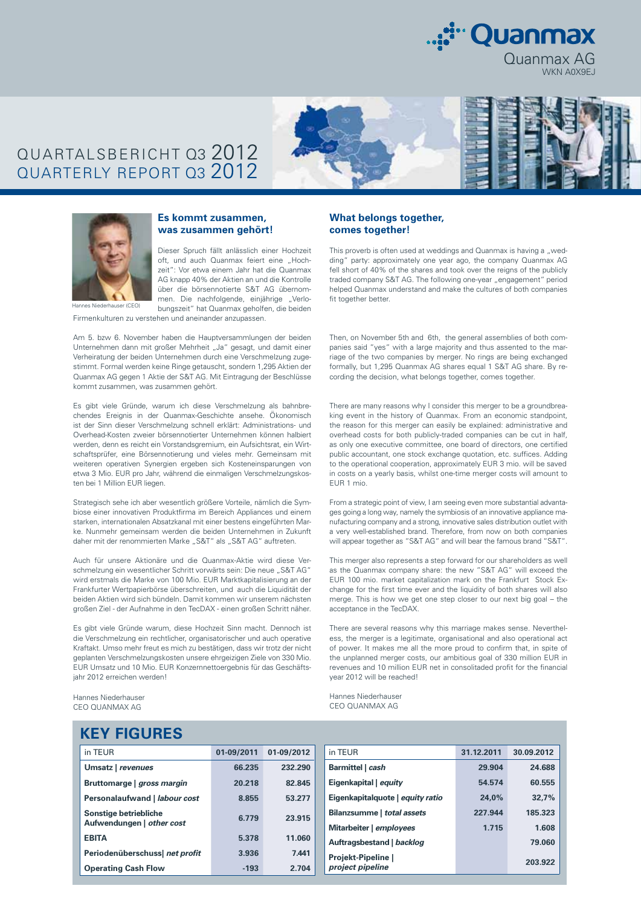

# QUARTALSBERICHT Q3 2012 QUARTERLY REPORT Q3 2012





### **Es kommt zusammen, was zusammen gehört!**

Dieser Spruch fällt anlässlich einer Hochzeit oft, und auch Quanmax feiert eine "Hochzeit": Vor etwa einem Jahr hat die Quanmax AG knapp 40% der Aktien an und die Kontrolle über die börsennotierte S&T AG übernommen. Die nachfolgende, einjährige "Verlobungszeit" hat Quanmax geholfen, die beiden

Firmenkulturen zu verstehen und aneinander anzupassen.

Am 5. bzw 6. November haben die Hauptversammlungen der beiden Unternehmen dann mit großer Mehrheit "Ja" gesagt, und damit einer Verheiratung der beiden Unternehmen durch eine Verschmelzung zugestimmt. Formal werden keine Ringe getauscht, sondern 1,295 Aktien der Quanmax AG gegen 1 Aktie der S&T AG. Mit Eintragung der Beschlüsse kommt zusammen, was zusammen gehört.

Es gibt viele Gründe, warum ich diese Verschmelzung als bahnbrechendes Ereignis in der Quanmax-Geschichte ansehe. Ökonomisch ist der Sinn dieser Verschmelzung schnell erklärt: Administrations- und Overhead-Kosten zweier börsennotierter Unternehmen können halbiert werden, denn es reicht ein Vorstandsgremium, ein Aufsichtsrat, ein Wirtschaftsprüfer, eine Börsennotierung und vieles mehr. Gemeinsam mit weiteren operativen Synergien ergeben sich Kosteneinsparungen von etwa 3 Mio. EUR pro Jahr, während die einmaligen Verschmelzungskosten bei 1 Million EUR liegen.

Strategisch sehe ich aber wesentlich größere Vorteile, nämlich die Symbiose einer innovativen Produktfirma im Bereich Appliances und einem starken, internationalen Absatzkanal mit einer bestens eingeführten Marke. Nunmehr gemeinsam werden die beiden Unternehmen in Zukunft daher mit der renommierten Marke "S&T" als "S&T AG" auftreten.

Auch für unsere Aktionäre und die Quanmax-Aktie wird diese Verschmelzung ein wesentlicher Schritt vorwärts sein: Die neue "S&T AG" wird erstmals die Marke von 100 Mio. EUR Marktkapitalisierung an der Frankfurter Wertpapierbörse überschreiten, und auch die Liquidität der beiden Aktien wird sich bündeln. Damit kommen wir unserem nächsten großen Ziel - der Aufnahme in den TecDAX - einen großen Schritt näher.

Es gibt viele Gründe warum, diese Hochzeit Sinn macht. Dennoch ist die Verschmelzung ein rechtlicher, organisatorischer und auch operative Kraftakt. Umso mehr freut es mich zu bestätigen, dass wir trotz der nicht geplanten Verschmelzungskosten unsere ehrgeizigen Ziele von 330 Mio. EUR Umsatz und 10 Mio. EUR Konzernnettoergebnis für das Geschäftsjahr 2012 erreichen werden!

Hannes Niederhauser CEO QUANMAX AG

### **What belongs together, comes together!**

This proverb is often used at weddings and Quanmax is having a "wedding" party: approximately one year ago, the company Quanmax AG fell short of 40% of the shares and took over the reigns of the publicly traded company S&T AG. The following one-year "engagement" period helped Quanmax understand and make the cultures of both companies fit together better.

Then, on November 5th and 6th, the general assemblies of both companies said "yes" with a large majority and thus assented to the marriage of the two companies by merger. No rings are being exchanged formally, but 1,295 Quanmax AG shares equal 1 S&T AG share. By recording the decision, what belongs together, comes together.

There are many reasons why I consider this merger to be a groundbreaking event in the history of Quanmax. From an economic standpoint, the reason for this merger can easily be explained: administrative and overhead costs for both publicly-traded companies can be cut in half, as only one executive committee, one board of directors, one certified public accountant, one stock exchange quotation, etc. suffices. Adding to the operational cooperation, approximately EUR 3 mio. will be saved in costs on a yearly basis, whilst one-time merger costs will amount to EUR 1 mio.

From a strategic point of view, I am seeing even more substantial advantages going a long way, namely the symbiosis of an innovative appliance manufacturing company and a strong, innovative sales distribution outlet with a very well-established brand. Therefore, from now on both companies will appear together as "S&T AG" and will bear the famous brand "S&T".

This merger also represents a step forward for our shareholders as well as the Quanmax company share: the new "S&T AG" will exceed the EUR 100 mio. market capitalization mark on the Frankfurt Stock Exchange for the first time ever and the liquidity of both shares will also merge. This is how we get one step closer to our next big goal – the acceptance in the TecDAX.

There are several reasons why this marriage makes sense. Nevertheless, the merger is a legitimate, organisational and also operational act of power. It makes me all the more proud to confirm that, in spite of the unplanned merger costs, our ambitious goal of 330 million EUR in revenues and 10 million EUR net in consolitaded profit for the financial year 2012 will be reached!

Hannes Niederhauser CEO QUANMAX AG

| in TEUR                        | 01-09/2011 | 01-09/2012 | in TEUR                          | 31.12.2011 | 30.09.2012 |
|--------------------------------|------------|------------|----------------------------------|------------|------------|
| Umsatz   revenues              | 66.235     | 232.290    | Barmittel   cash                 | 29.904     | 24.688     |
| Bruttomarge   gross margin     | 20.218     | 82.845     | Eigenkapital   equity            | 54.574     | 60.555     |
| Personalaufwand   labour cost  | 8.855      | 53.277     | Eigenkapitalquote   equity ratio | 24.0%      | 32.7%      |
| Sonstige betriebliche          | 6.779      | 23.915     | Bilanzsumme   total assets       | 227.944    | 185.323    |
| Aufwendungen   other cost      |            |            | Mitarbeiter   employees          | 1.715      | 1.608      |
| <b>EBITA</b>                   | 5.378      | 11.060     | Auftragsbestand   backlog        |            | 79.060     |
| Periodenüberschuss  net profit | 3.936      | 7.441      | Projekt-Pipeline                 |            |            |
| <b>Operating Cash Flow</b>     | $-193$     | 2.704      | project pipeline                 |            | 203.922    |
|                                |            |            |                                  |            |            |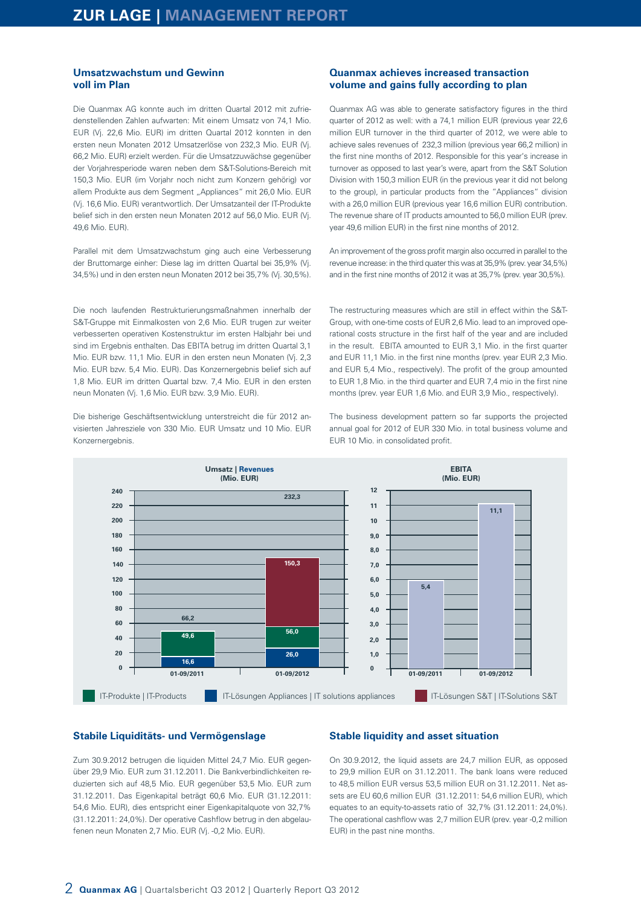### **Umsatzwachstum und Gewinn voll im Plan**

Die Quanmax AG konnte auch im dritten Quartal 2012 mit zufriedenstellenden Zahlen aufwarten: Mit einem Umsatz von 74,1 Mio. EUR (Vj. 22,6 Mio. EUR) im dritten Quartal 2012 konnten in den ersten neun Monaten 2012 Umsatzerlöse von 232,3 Mio. EUR (Vj. 66,2 Mio. EUR) erzielt werden. Für die Umsatzzuwächse gegenüber der Vorjahresperiode waren neben dem S&T-Solutions-Bereich mit 150,3 Mio. EUR (im Vorjahr noch nicht zum Konzern gehörig) vor allem Produkte aus dem Segment "Appliances" mit 26,0 Mio. EUR (Vj. 16,6 Mio. EUR) verantwortlich. Der Umsatzanteil der IT-Produkte belief sich in den ersten neun Monaten 2012 auf 56,0 Mio. EUR (Vj. 49,6 Mio. EUR).

Parallel mit dem Umsatzwachstum ging auch eine Verbesserung der Bruttomarge einher: Diese lag im dritten Quartal bei 35,9% (Vj. 34,5%) und in den ersten neun Monaten 2012 bei 35,7% (Vj. 30,5%).

Die noch laufenden Restrukturierungsmaßnahmen innerhalb der S&T-Gruppe mit Einmalkosten von 2,6 Mio. EUR trugen zur weiter verbesserten operativen Kostenstruktur im ersten Halbjahr bei und sind im Ergebnis enthalten. Das EBITA betrug im dritten Quartal 3,1 Mio. EUR bzw. 11,1 Mio. EUR in den ersten neun Monaten (Vj. 2,3 Mio. EUR bzw. 5,4 Mio. EUR). Das Konzernergebnis belief sich auf 1,8 Mio. EUR im dritten Quartal bzw. 7,4 Mio. EUR in den ersten neun Monaten (Vj. 1,6 Mio. EUR bzw. 3,9 Mio. EUR).

Die bisherige Geschäftsentwicklung unterstreicht die für 2012 anvisierten Jahresziele von 330 Mio. EUR Umsatz und 10 Mio. EUR Konzernergebnis.

## **Quanmax achieves increased transaction volume and gains fully according to plan**

Quanmax AG was able to generate satisfactory figures in the third quarter of 2012 as well: with a 74,1 million EUR (previous year 22,6 million EUR turnover in the third quarter of 2012, we were able to achieve sales revenues of 232,3 million (previous year 66,2 million) in the first nine months of 2012. Responsible for this year's increase in turnover as opposed to last year's were, apart from the S&T Solution Division with 150,3 million EUR (in the previous year it did not belong to the group), in particular products from the "Appliances" division with a 26,0 million EUR (previous year 16,6 million EUR) contribution. The revenue share of IT products amounted to 56,0 million EUR (prev. year 49,6 million EUR) in the first nine months of 2012.

An improvement of the gross profit margin also occurred in parallel to the revenue increase: in the third quater this was at 35,9% (prev. year 34,5%) and in the first nine months of 2012 it was at 35,7% (prev. year 30,5%).

The restructuring measures which are still in effect within the S&T-Group, with one-time costs of EUR 2,6 Mio. lead to an improved operational costs structure in the first half of the year and are included in the result. EBITA amounted to EUR 3,1 Mio. in the first quarter and EUR 11,1 Mio. in the first nine months (prev. year EUR 2,3 Mio. and EUR 5,4 Mio., respectively). The profit of the group amounted to EUR 1,8 Mio. in the third quarter and EUR 7,4 mio in the first nine months (prev. year EUR 1,6 Mio. and EUR 3,9 Mio., respectively).

The business development pattern so far supports the projected annual goal for 2012 of EUR 330 Mio. in total business volume and EUR 10 Mio. in consolidated profit.



## **Stabile Liquiditäts- und Vermögenslage**

Zum 30.9.2012 betrugen die liquiden Mittel 24,7 Mio. EUR gegenüber 29,9 Mio. EUR zum 31.12.2011. Die Bankverbindlichkeiten reduzierten sich auf 48,5 Mio. EUR gegenüber 53,5 Mio. EUR zum 31.12.2011. Das Eigenkapital beträgt 60,6 Mio. EUR (31.12.2011: 54,6 Mio. EUR), dies entspricht einer Eigenkapitalquote von 32,7% (31.12.2011: 24,0%). Der operative Cashflow betrug in den abgelaufenen neun Monaten 2,7 Mio. EUR (Vj. -0,2 Mio. EUR).

### **Stable liquidity and asset situation**

On 30.9.2012, the liquid assets are 24,7 million EUR, as opposed to 29,9 million EUR on 31.12.2011. The bank loans were reduced to 48,5 million EUR versus 53,5 million EUR on 31.12.2011. Net assets are EU 60,6 million EUR (31.12.2011: 54,6 million EUR), which equates to an equity-to-assets ratio of 32,7% (31.12.2011: 24,0%). The operational cashflow was 2,7 million EUR (prev. year -0,2 million EUR) in the past nine months.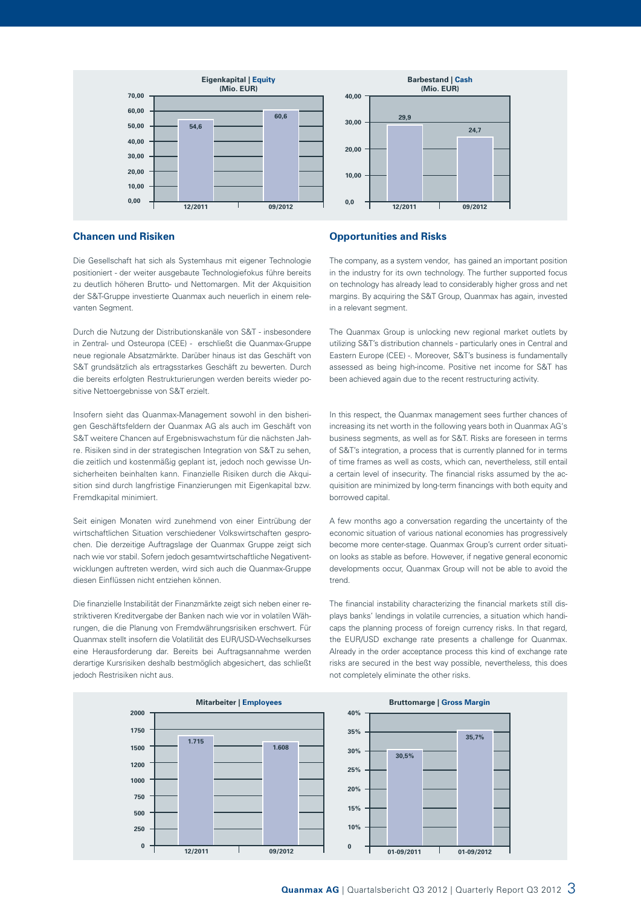

## **Chancen und Risiken**

Die Gesellschaft hat sich als Systemhaus mit eigener Technologie positioniert - der weiter ausgebaute Technologiefokus führe bereits zu deutlich höheren Brutto- und Nettomargen. Mit der Akquisition der S&T-Gruppe investierte Quanmax auch neuerlich in einem relevanten Segment.

Durch die Nutzung der Distributionskanäle von S&T - insbesondere in Zentral- und Osteuropa (CEE) - erschließt die Quanmax-Gruppe neue regionale Absatzmärkte. Darüber hinaus ist das Geschäft von S&T grundsätzlich als ertragsstarkes Geschäft zu bewerten. Durch die bereits erfolgten Restrukturierungen werden bereits wieder positive Nettoergebnisse von S&T erzielt.

Insofern sieht das Quanmax-Management sowohl in den bisherigen Geschäftsfeldern der Quanmax AG als auch im Geschäft von S&T weitere Chancen auf Ergebniswachstum für die nächsten Jahre. Risiken sind in der strategischen Integration von S&T zu sehen, die zeitlich und kostenmäßig geplant ist, jedoch noch gewisse Unsicherheiten beinhalten kann. Finanzielle Risiken durch die Akquisition sind durch langfristige Finanzierungen mit Eigenkapital bzw. Fremdkapital minimiert.

Seit einigen Monaten wird zunehmend von einer Eintrübung der wirtschaftlichen Situation verschiedener Volkswirtschaften gesprochen. Die derzeitige Auftragslage der Quanmax Gruppe zeigt sich nach wie vor stabil. Sofern jedoch gesamtwirtschaftliche Negativentwicklungen auftreten werden, wird sich auch die Quanmax-Gruppe diesen Einflüssen nicht entziehen können.

Die finanzielle Instabilität der Finanzmärkte zeigt sich neben einer restriktiveren Kreditvergabe der Banken nach wie vor in volatilen Währungen, die die Planung von Fremdwährungsrisiken erschwert. Für Quanmax stellt insofern die Volatilität des EUR/USD-Wechselkurses eine Herausforderung dar. Bereits bei Auftragsannahme werden derartige Kursrisiken deshalb bestmöglich abgesichert, das schließt jedoch Restrisiken nicht aus.

#### **Opportunities and Risks**

The company, as a system vendor, has gained an important position in the industry for its own technology. The further supported focus on technology has already lead to considerably higher gross and net margins. By acquiring the S&T Group, Quanmax has again, invested in a relevant segment.

The Quanmax Group is unlocking new regional market outlets by utilizing S&T's distribution channels - particularly ones in Central and Eastern Europe (CEE) -. Moreover, S&T's business is fundamentally assessed as being high-income. Positive net income for S&T has been achieved again due to the recent restructuring activity.

In this respect, the Quanmax management sees further chances of increasing its net worth in the following years both in Quanmax AG's business segments, as well as for S&T. Risks are foreseen in terms of S&T's integration, a process that is currently planned for in terms of time frames as well as costs, which can, nevertheless, still entail a certain level of insecurity. The financial risks assumed by the acquisition are minimized by long-term financings with both equity and borrowed capital.

A few months ago a conversation regarding the uncertainty of the economic situation of various national economies has progressively become more center-stage. Quanmax Group's current order situation looks as stable as before. However, if negative general economic developments occur, Quanmax Group will not be able to avoid the trend.

The financial instability characterizing the financial markets still displays banks' lendings in volatile currencies, a situation which handicaps the planning process of foreign currency risks. In that regard, the EUR/USD exchange rate presents a challenge for Quanmax. Already in the order acceptance process this kind of exchange rate risks are secured in the best way possible, nevertheless, this does not completely eliminate the other risks.

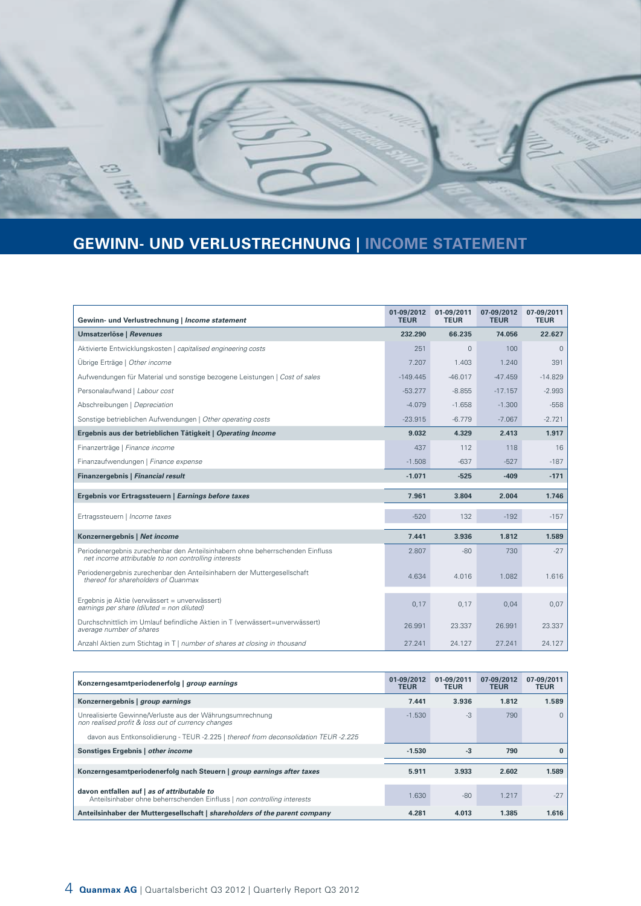

# **GEWINN- UND VERLUSTRECHNUNG | INCOME STATEMENT**

| Gewinn- und Verlustrechnung   Income statement                                                                                        | 01-09/2012<br><b>TEUR</b> | 01-09/2011<br><b>TEUR</b> | 07-09/2012<br><b>TEUR</b> | 07-09/2011<br><b>TEUR</b> |
|---------------------------------------------------------------------------------------------------------------------------------------|---------------------------|---------------------------|---------------------------|---------------------------|
| Umsatzerlöse   Revenues                                                                                                               | 232.290                   | 66.235                    | 74.056                    | 22.627                    |
| Aktivierte Entwicklungskosten   capitalised engineering costs                                                                         | 251                       | $\mathbf{0}$              | 100                       | $\mathbf{0}$              |
| Übrige Erträge   Other income                                                                                                         | 7.207                     | 1.403                     | 1.240                     | 391                       |
| Aufwendungen für Material und sonstige bezogene Leistungen   Cost of sales                                                            | $-149.445$                | $-46.017$                 | $-47.459$                 | $-14.829$                 |
| Personalaufwand   Labour cost                                                                                                         | $-53.277$                 | $-8.855$                  | $-17.157$                 | $-2.993$                  |
| Abschreibungen   Depreciation                                                                                                         | $-4.079$                  | $-1.658$                  | $-1.300$                  | $-558$                    |
| Sonstige betrieblichen Aufwendungen   Other operating costs                                                                           | $-23.915$                 | $-6.779$                  | $-7.067$                  | $-2.721$                  |
| Ergebnis aus der betrieblichen Tätigkeit   Operating Income                                                                           | 9.032                     | 4.329                     | 2.413                     | 1.917                     |
| Finanzerträge   Finance income                                                                                                        | 437                       | 112                       | 118                       | 16                        |
| Finanzaufwendungen   Finance expense                                                                                                  | $-1.508$                  | $-637$                    | $-527$                    | $-187$                    |
| Finanzergebnis   Financial result                                                                                                     | $-1.071$                  | $-525$                    | $-409$                    | $-171$                    |
| Ergebnis vor Ertragssteuern   Earnings before taxes                                                                                   | 7.961                     | 3.804                     | 2.004                     | 1.746                     |
| Ertragssteuern   Income taxes                                                                                                         | $-520$                    | 132                       | $-192$                    | $-157$                    |
| Konzernergebnis   Net income                                                                                                          | 7.441                     | 3.936                     | 1.812                     | 1.589                     |
| Periodenergebnis zurechenbar den Anteilsinhabern ohne beherrschenden Einfluss<br>net income attributable to non controlling interests | 2.807                     | $-80$                     | 730                       | $-27$                     |
|                                                                                                                                       |                           |                           |                           |                           |
| Periodenergebnis zurechenbar den Anteilsinhabern der Muttergesellschaft<br>thereof for shareholders of Quanmax                        | 4.634                     | 4.016                     | 1.082                     | 1.616                     |
| Ergebnis je Aktie (verwässert = unverwässert)<br>earnings per share (diluted = non diluted)                                           | 0,17                      | 0.17                      | 0.04                      | 0,07                      |
| Durchschnittlich im Umlauf befindliche Aktien in T (verwässert=unverwässert)<br>average number of shares                              | 26.991                    | 23.337                    | 26.991                    | 23.337                    |

| Konzerngesamtperiodenerfolg   group earnings                                                                           | 01-09/2012<br><b>TEUR</b> | 01-09/2011<br><b>TEUR</b> | 07-09/2012<br><b>TEUR</b> | 07-09/2011<br><b>TEUR</b> |
|------------------------------------------------------------------------------------------------------------------------|---------------------------|---------------------------|---------------------------|---------------------------|
| Konzernergebnis   group earnings                                                                                       | 7.441                     | 3.936                     | 1.812                     | 1.589                     |
| Unrealisierte Gewinne/Verluste aus der Währungsumrechnung<br>non realised profit & loss out of currency changes        | $-1.530$                  | $-3$                      | 790                       | 0                         |
| davon aus Entkonsolidierung - TEUR -2.225   thereof from deconsolidation TEUR -2.225                                   |                           |                           |                           |                           |
| Sonstiges Ergebnis   other income                                                                                      | $-1.530$                  | $-3$                      | 790                       | $\Omega$                  |
|                                                                                                                        |                           |                           |                           |                           |
| Konzerngesamtperiodenerfolg nach Steuern   group earnings after taxes                                                  | 5.911                     | 3.933                     | 2.602                     | 1.589                     |
| davon entfallen auf   as of attributable to<br>Anteilsinhaber ohne beherrschenden Einfluss   non controlling interests | 1.630                     | $-80$                     | 1.217                     | $-27$                     |
| Anteilsinhaber der Muttergesellschaft   shareholders of the parent company                                             | 4.281                     | 4.013                     | 1.385                     | 1.616                     |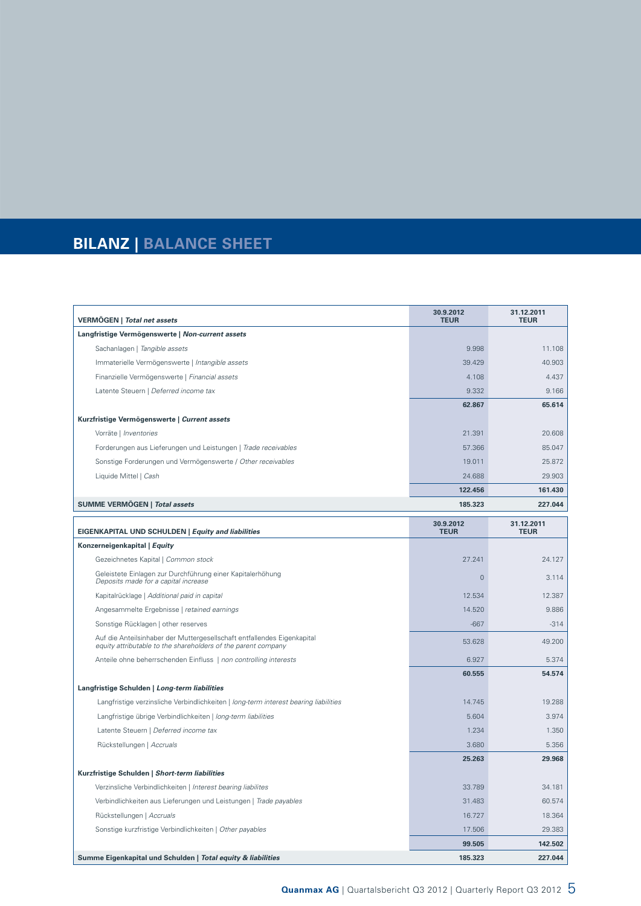# **BILANZ | BALANCE SHEET**

| VERMÖGEN   Total net assets                                                                                                              | 30.9.2012<br><b>TEUR</b> | 31.12.2011<br><b>TEUR</b> |
|------------------------------------------------------------------------------------------------------------------------------------------|--------------------------|---------------------------|
| Langfristige Vermögenswerte   Non-current assets                                                                                         |                          |                           |
| Sachanlagen   Tangible assets                                                                                                            | 9.998                    | 11.108                    |
| Immaterielle Vermögenswerte   Intangible assets                                                                                          | 39.429                   | 40.903                    |
| Finanzielle Vermögenswerte   Financial assets                                                                                            | 4.108                    | 4.437                     |
| Latente Steuern   Deferred income tax                                                                                                    | 9.332                    | 9.166                     |
|                                                                                                                                          | 62.867                   | 65.614                    |
| Kurzfristige Vermögenswerte   Current assets                                                                                             |                          |                           |
| Vorräte   Inventories                                                                                                                    | 21.391                   | 20.608                    |
| Forderungen aus Lieferungen und Leistungen   Trade receivables                                                                           | 57.366                   | 85.047                    |
| Sonstige Forderungen und Vermögenswerte / Other receivables                                                                              | 19.011                   | 25.872                    |
| Liquide Mittel   Cash                                                                                                                    | 24.688                   | 29.903                    |
|                                                                                                                                          | 122.456                  | 161.430                   |
| SUMME VERMÖGEN   Total assets                                                                                                            | 185.323                  | 227.044                   |
|                                                                                                                                          | 30.9.2012                | 31.12.2011                |
| <b>EIGENKAPITAL UND SCHULDEN   Equity and liabilities</b>                                                                                | <b>TEUR</b>              | <b>TEUR</b>               |
| Konzerneigenkapital   Equity                                                                                                             |                          |                           |
| Gezeichnetes Kapital   Common stock                                                                                                      | 27.241                   | 24.127                    |
| Geleistete Einlagen zur Durchführung einer Kapitalerhöhung<br>Deposits made for a capital increase                                       | $\Omega$                 | 3.114                     |
| Kapitalrücklage   Additional paid in capital                                                                                             | 12.534                   | 12.387                    |
| Angesammelte Ergebnisse   retained earnings                                                                                              | 14.520                   | 9.886                     |
| Sonstige Rücklagen   other reserves                                                                                                      | $-667$                   | $-314$                    |
| Auf die Anteilsinhaber der Muttergesellschaft entfallendes Eigenkapital<br>equity attributable to the shareholders of the parent company | 53.628                   | 49.200                    |
| Anteile ohne beherrschenden Einfluss   non controlling interests                                                                         | 6.927                    | 5.374                     |
|                                                                                                                                          | 60.555                   | 54.574                    |
| Langfristige Schulden   Long-term liabilities                                                                                            |                          |                           |
| Langfristige verzinsliche Verbindlichkeiten   long-term interest bearing liabilities                                                     | 14.745                   | 19.288                    |
| Langfristige übrige Verbindlichkeiten   long-term liabilities                                                                            | 5.604                    | 3.974                     |
| Latente Steuern   Deferred income tax                                                                                                    | 1.234                    | 1.350                     |
| Rückstellungen   Accruals                                                                                                                | 3.680                    | 5.356                     |
|                                                                                                                                          | 25.263                   | 29.968                    |
| Kurzfristige Schulden   Short-term liabilities                                                                                           |                          |                           |
| Verzinsliche Verbindlichkeiten   Interest bearing liabilites                                                                             | 33.789                   | 34.181                    |
| Verbindlichkeiten aus Lieferungen und Leistungen   Trade payables                                                                        | 31.483                   | 60.574                    |
| Rückstellungen   Accruals                                                                                                                | 16.727                   | 18.364                    |
| Sonstige kurzfristige Verbindlichkeiten   Other payables                                                                                 | 17.506                   | 29.383                    |
|                                                                                                                                          | 99.505                   | 142.502                   |
| Summe Eigenkapital und Schulden   Total equity & liabilities                                                                             | 185.323                  | 227.044                   |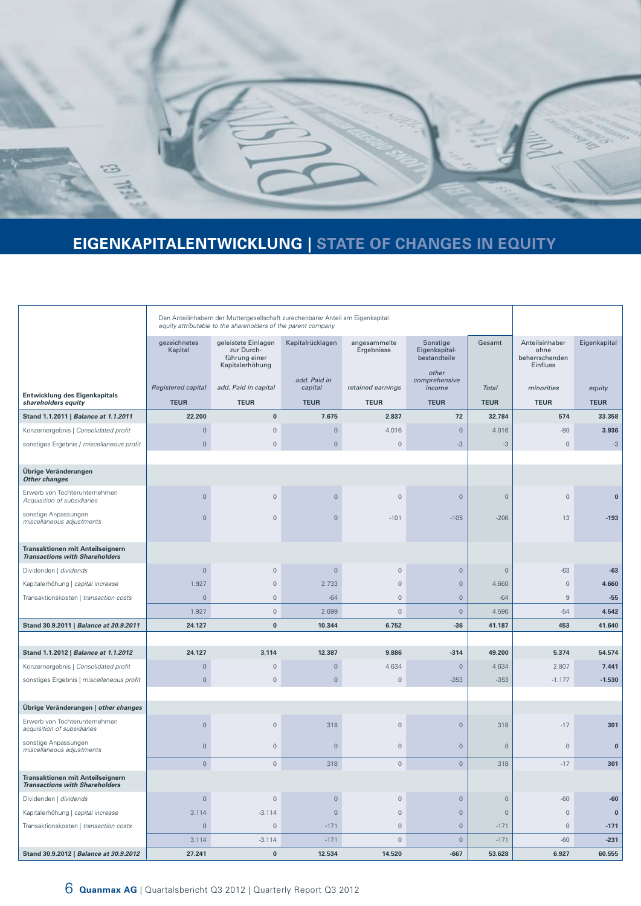

# **EIGENKAPITALENTWICKLUNG | STATE OF CHANGES IN EQUITY**

|                                                                                  | Den Anteilinhabern der Muttergesellschaft zurechenbarer Anteil am Eigenkapital<br>equity attributable to the shareholders of the parent company |                                                                       |                         |                            |                                           |                     |                                                      |              |
|----------------------------------------------------------------------------------|-------------------------------------------------------------------------------------------------------------------------------------------------|-----------------------------------------------------------------------|-------------------------|----------------------------|-------------------------------------------|---------------------|------------------------------------------------------|--------------|
|                                                                                  | gezeichnetes<br>Kapital                                                                                                                         | geleistete Einlagen<br>zur Durch-<br>führung einer<br>Kapitalerhöhung | Kapitalrücklagen        | angesammelte<br>Ergebnisse | Sonstige<br>Eigenkapital-<br>bestandteile | Gesamt              | Anteilsinhaber<br>ohne<br>beherrschenden<br>Einfluss | Eigenkapital |
|                                                                                  | Registered capital                                                                                                                              | add. Paid in capital                                                  | add. Paid in<br>capital | retained earnings          | other<br>comprehensive<br>income          | <b>Total</b>        | minorities                                           | equity       |
| Entwicklung des Eigenkapitals<br>shareholders equity                             | <b>TEUR</b>                                                                                                                                     | <b>TEUR</b>                                                           | <b>TEUR</b>             | <b>TEUR</b>                | <b>TEUR</b>                               | <b>TEUR</b>         | <b>TEUR</b>                                          | <b>TEUR</b>  |
| Stand 1.1.2011   Balance at 1.1.2011                                             | 22.200                                                                                                                                          | $\bf{0}$                                                              | 7.675                   | 2.837                      | 72                                        | 32.784              | 574                                                  | 33.358       |
| Konzernergebnis   Consolidated profit                                            | $\mathbf{0}$                                                                                                                                    | $\overline{0}$                                                        | $\mathsf{O}\xspace$     | 4.016                      | $\mathsf{O}\xspace$                       | 4.016               | $-80$                                                | 3.936        |
| sonstiges Ergebnis / miscellaneous profit                                        | $\mathsf{O}\xspace$                                                                                                                             | $\mathbf 0$                                                           | $\circ$                 | $\mathbb O$                | $-3$                                      | $-3$                | $\mathbf 0$                                          | $-3$         |
|                                                                                  |                                                                                                                                                 |                                                                       |                         |                            |                                           |                     |                                                      |              |
| Übrige Veränderungen<br><b>Other changes</b>                                     |                                                                                                                                                 |                                                                       |                         |                            |                                           |                     |                                                      |              |
| Erwerb von Tochterunternehmen<br>Acquisition of subsidiaries                     | $\mathbf 0$                                                                                                                                     | $\overline{0}$                                                        | $\circ$                 | $\mathbf 0$                | $\mathbf 0$                               | $\mathsf{O}\xspace$ | $\mathbf 0$                                          | $\bf{0}$     |
| sonstige Anpassungen<br>miscellaneous adjustments                                | $\overline{0}$                                                                                                                                  | $\mathbf 0$                                                           | $\mathbf 0$             | $-101$                     | $-105$                                    | $-206$              | 13                                                   | $-193$       |
| Transaktionen mit Anteilseignern<br><b>Transactions with Shareholders</b>        |                                                                                                                                                 |                                                                       |                         |                            |                                           |                     |                                                      |              |
| Dividenden   dividends                                                           | $\mathbf 0$                                                                                                                                     | $\mathbf{0}$                                                          | $\circ$                 | $\overline{0}$             | $\mathbf 0$                               | $\mathbf 0$         | $-63$                                                | $-63$        |
| Kapitalerhöhung   capital increase                                               | 1.927                                                                                                                                           | $\mathbf 0$                                                           | 2.733                   | $\mathbb O$                | $\mathbf 0$                               | 4.660               | $\mathbf 0$                                          | 4.660        |
| Transaktionskosten   transaction costs                                           | $\mathbf{0}$                                                                                                                                    | $\mathbf 0$                                                           | $-64$                   | $\mathbb O$                | $\mathbf 0$                               | $-64$               | $\,9$                                                | $-55$        |
|                                                                                  | 1.927                                                                                                                                           | $\mathbb O$                                                           | 2.699                   | $\mathbb O$                | $\mathsf{O}\xspace$                       | 4.596               | $-54$                                                | 4.542        |
| Stand 30.9.2011   Balance at 30.9.2011                                           | 24.127                                                                                                                                          | $\bf{0}$                                                              | 10.344                  | 6.752                      | $-36$                                     | 41.187              | 453                                                  | 41.640       |
|                                                                                  |                                                                                                                                                 |                                                                       |                         |                            |                                           |                     |                                                      |              |
| Stand 1.1.2012   Balance at 1.1.2012                                             | 24.127                                                                                                                                          | 3.114                                                                 | 12.387                  | 9.886                      | $-314$                                    | 49.200              | 5.374                                                | 54.574       |
| Konzernergebnis   Consolidated profit                                            | $\mathsf{O}\xspace$                                                                                                                             | $\mathbf 0$                                                           | $\circ$                 | 4.634                      | $\mathbf 0$                               | 4.634               | 2.807                                                | 7.441        |
| sonstiges Ergebnis   miscellaneous profit                                        | $\circ$                                                                                                                                         | $\mathbf 0$                                                           | $\mathsf{O}\xspace$     | $\mathbb O$                | $-353$                                    | $-353$              | $-1.177$                                             | $-1.530$     |
| Übrige Veränderungen   other changes                                             |                                                                                                                                                 |                                                                       |                         |                            |                                           |                     |                                                      |              |
| Erwerb von Tochterunternehmen<br>acquisition of subsidiaries                     | $\mathbb O$                                                                                                                                     | $\mathbf 0$                                                           | 318                     | $\mathbb O$                | $\mathsf{O}$                              | 318                 | $-17$                                                | 301          |
| sonstige Anpassungen<br>miscellaneous adjustments                                | $\mathbf 0$                                                                                                                                     | $\mathbf 0$                                                           | $\mathbf 0$             | $\mathbb O$                | $\mathbf 0$                               | $\mathsf{O}\xspace$ | $\mathbf 0$                                          | $\bf{0}$     |
|                                                                                  | $\mathbf{0}$                                                                                                                                    | $\mathbb O$                                                           | 318                     | $\mathbf 0$                | $\mathsf{O}\xspace$                       | 318                 | $-17$                                                | 301          |
| <b>Transaktionen mit Anteilseignern</b><br><b>Transactions with Shareholders</b> |                                                                                                                                                 |                                                                       |                         |                            |                                           |                     |                                                      |              |
| Dividenden   dividends                                                           | $\mathbf 0$                                                                                                                                     | $\mathbf 0$                                                           | $\mathsf{O}\xspace$     | $\mathbb O$                | $\mathsf{O}\xspace$                       | $\circ$             | $-60$                                                | $-60$        |
| Kapitalerhöhung   capital increase                                               | 3.114                                                                                                                                           | $-3.114$                                                              | $\mathbf 0$             | $\mathbb O$                | $\mathbf 0$                               | $\mathsf{O}\xspace$ | $\mathbf 0$                                          | $\bf{0}$     |
| Transaktionskosten   transaction costs                                           | $\mathbf{0}$                                                                                                                                    | $\mathbf{0}$                                                          | $-171$                  | $\mathbf{0}$               | $\mathbf{0}$                              | $-171$              | $\mathbf{0}$                                         | $-171$       |
|                                                                                  | 3.114                                                                                                                                           | $-3.114$                                                              | $-171$                  | $\mathbb O$                | $\mathsf{O}$                              | $-171$              | $-60$                                                | $-231$       |
| Stand 30.9.2012   Balance at 30.9.2012                                           | 27.241                                                                                                                                          | $\bf{0}$                                                              | 12.534                  | 14.520                     | $-667$                                    | 53.628              | 6.927                                                | 60.555       |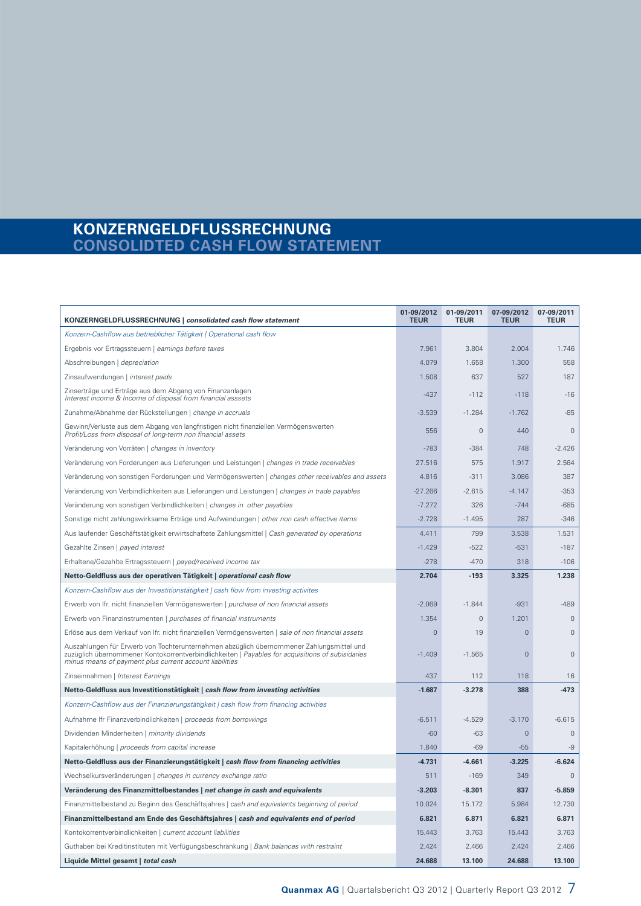# **KONZERNGELDFLUSSRECHNUNG CONSOLIDTED CASH FLOW STATEMENT**

| KONZERNGELDFLUSSRECHNUNG   consolidated cash flow statement                                                                                                                                                                                             | 01-09/2012<br><b>TEUR</b> | 01-09/2011<br><b>TEUR</b> | 07-09/2012<br><b>TEUR</b> | 07-09/2011<br><b>TEUR</b> |
|---------------------------------------------------------------------------------------------------------------------------------------------------------------------------------------------------------------------------------------------------------|---------------------------|---------------------------|---------------------------|---------------------------|
| Konzern-Cashflow aus betrieblicher Tätigkeit   Operational cash flow                                                                                                                                                                                    |                           |                           |                           |                           |
| Ergebnis vor Ertragssteuern   earnings before taxes                                                                                                                                                                                                     | 7.961                     | 3.804                     | 2.004                     | 1.746                     |
| Abschreibungen   depreciation                                                                                                                                                                                                                           | 4.079                     | 1.658                     | 1.300                     | 558                       |
| Zinsaufwendungen   interest paids                                                                                                                                                                                                                       | 1.508                     | 637                       | 527                       | 187                       |
| Zinserträge und Erträge aus dem Abgang von Finanzanlagen<br>Interest income & Income of disposal from financial asssets                                                                                                                                 | $-437$                    | $-112$                    | $-118$                    | $-16$                     |
| Zunahme/Abnahme der Rückstellungen   change in accruals                                                                                                                                                                                                 | $-3.539$                  | $-1.284$                  | $-1.762$                  | $-85$                     |
| Gewinn/Verluste aus dem Abgang von langfristigen nicht finanziellen Vermögenswerten<br>Profit/Loss from disposal of long-term non financial assets                                                                                                      | 556                       | $\mathbf 0$               | 440                       | $\mathbf{0}$              |
| Veränderung von Vorräten   changes in inventory                                                                                                                                                                                                         | $-783$                    | $-384$                    | 748                       | $-2.426$                  |
| Veränderung von Forderungen aus Lieferungen und Leistungen   changes in trade receivables                                                                                                                                                               | 27.516                    | 575                       | 1.917                     | 2.564                     |
| Veränderung von sonstigen Forderungen und Vermögenswerten   changes other receivables and assets                                                                                                                                                        | 4.816                     | $-311$                    | 3.086                     | 387                       |
| Veränderung von Verbindlichkeiten aus Lieferungen und Leistungen   changes in trade payables                                                                                                                                                            | $-27.266$                 | $-2.615$                  | $-4.147$                  | $-353$                    |
| Veränderung von sonstigen Verbindlichkeiten   changes in other payables                                                                                                                                                                                 | $-7.272$                  | 326                       | $-744$                    | $-685$                    |
| Sonstige nicht zahlungswirksame Erträge und Aufwendungen   other non cash effective items                                                                                                                                                               | $-2.728$                  | $-1.495$                  | 287                       | $-346$                    |
| Aus laufender Geschäftstätigkeit erwirtschaftete Zahlungsmittel   Cash generated by operations                                                                                                                                                          | 4.411                     | 799                       | 3.538                     | 1.531                     |
| Gezahlte Zinsen   payed interest                                                                                                                                                                                                                        | $-1.429$                  | $-522$                    | $-531$                    | $-187$                    |
| Erhaltene/Gezahlte Ertragssteuern   payed/received income tax                                                                                                                                                                                           | $-278$                    | $-470$                    | 318                       | $-106$                    |
| Netto-Geldfluss aus der operativen Tätigkeit   operational cash flow                                                                                                                                                                                    | 2.704                     | $-193$                    | 3.325                     | 1.238                     |
| Konzern-Cashflow aus der Investitionstätigkeit   cash flow from investing activites                                                                                                                                                                     |                           |                           |                           |                           |
| Erwerb von Ifr. nicht finanziellen Vermögenswerten   purchase of non financial assets                                                                                                                                                                   | $-2.069$                  | $-1.844$                  | $-931$                    | $-489$                    |
| Erwerb von Finanzinstrumenten   purchases of financial instruments                                                                                                                                                                                      | 1.354                     | $\mathbf 0$               | 1.201                     | $\mathbf{0}$              |
| Erlöse aus dem Verkauf von Ifr. nicht finanziellen Vermögenswerten   sale of non financial assets                                                                                                                                                       | $\mathbf{0}$              | 19                        | $\mathbf 0$               | $\mathbf 0$               |
| Auszahlungen für Erwerb von Tochterunternehmen abzüglich übernommener Zahlungsmittel und<br>zuzüglich übernommener Kontokorrentverbindlichkeiten   Payables for acquisitions of subisidaries<br>minus means of payment plus current account liabilities | $-1.409$                  | $-1.565$                  | $\mathbf{0}$              | $\mathsf{O}\xspace$       |
| Zinseinnahmen   Interest Earnings                                                                                                                                                                                                                       | 437                       | 112                       | 118                       | 16                        |
| Netto-Geldfluss aus Investitionstätigkeit   cash flow from investing activities                                                                                                                                                                         | $-1.687$                  | $-3.278$                  | 388                       | $-473$                    |
| Konzern-Cashflow aus der Finanzierungstätigkeit   cash flow from financing activities                                                                                                                                                                   |                           |                           |                           |                           |
| Aufnahme Ifr Finanzverbindlichkeiten   proceeds from borrowings                                                                                                                                                                                         | $-6.511$                  | $-4.529$                  | $-3.170$                  | $-6.615$                  |
| Dividenden Minderheiten   minority dividends                                                                                                                                                                                                            | $-60$                     | $-63$                     | $\mathbf 0$               | $\mathbf{0}$              |
| Kapitalerhöhung   proceeds from capital increase                                                                                                                                                                                                        | 1.840                     | $-69$                     | $-55$                     | $-9$                      |
| Netto-Geldfluss aus der Finanzierungstätigkeit   cash flow from financing activities                                                                                                                                                                    | $-4.731$                  | -4.661                    | $-3.225$                  | $-6.624$                  |
| Wechselkursveränderungen   changes in currency exchange ratio                                                                                                                                                                                           | 511                       | $-169$                    | 349                       | $\overline{0}$            |
| Veränderung des Finanzmittelbestandes   net change in cash and equivalents                                                                                                                                                                              | -3.203                    | $-8.301$                  | 837                       | $-5.859$                  |
| Finanzmittelbestand zu Beginn des Geschäftsjahres   cash and equivalents beginning of period                                                                                                                                                            | 10.024                    | 15.172                    | 5.984                     | 12.730                    |
| Finanzmittelbestand am Ende des Geschäftsjahres   cash and equivalents end of period                                                                                                                                                                    | 6.821                     | 6.871                     | 6.821                     | 6.871                     |
| Kontokorrentverbindlichkeiten   current account liabilities                                                                                                                                                                                             | 15.443                    | 3.763                     | 15.443                    | 3.763                     |
| Guthaben bei Kreditinstituten mit Verfügungsbeschränkung   Bank balances with restraint                                                                                                                                                                 | 2.424                     | 2.466                     | 2.424                     | 2.466                     |
| Liquide Mittel gesamt   total cash                                                                                                                                                                                                                      | 24.688                    | 13.100                    | 24.688                    | 13.100                    |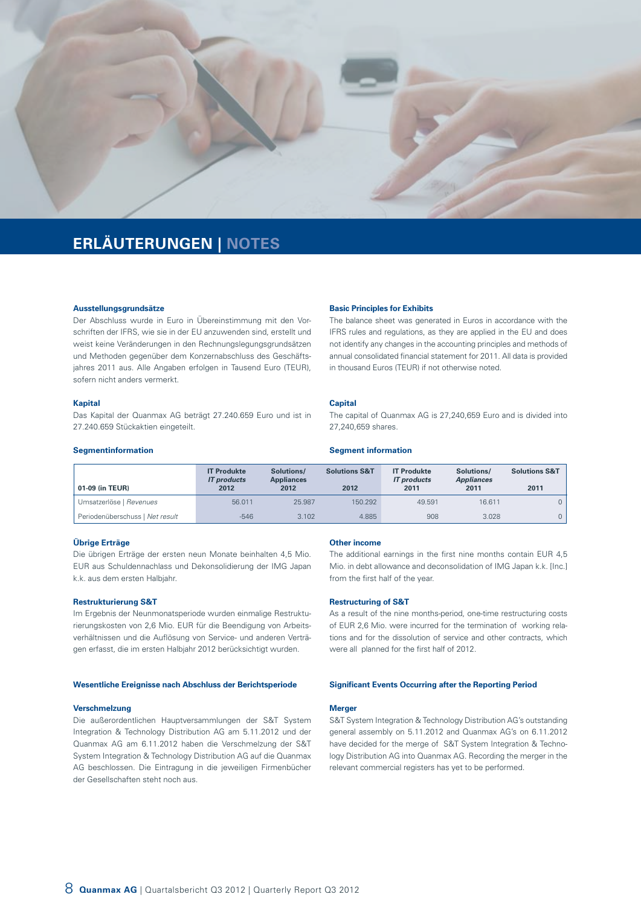

# **ERLÄUTERUNGEN | NOTES**

#### **Ausstellungsgrundsätze**

Der Abschluss wurde in Euro in Übereinstimmung mit den Vorschriften der IFRS, wie sie in der EU anzuwenden sind, erstellt und weist keine Veränderungen in den Rechnungslegungsgrundsätzen und Methoden gegenüber dem Konzernabschluss des Geschäftsjahres 2011 aus. Alle Angaben erfolgen in Tausend Euro (TEUR), sofern nicht anders vermerkt.

#### **Kapital**

Das Kapital der Quanmax AG beträgt 27.240.659 Euro und ist in 27.240.659 Stückaktien eingeteilt.

#### **Basic Principles for Exhibits**

The balance sheet was generated in Euros in accordance with the IFRS rules and regulations, as they are applied in the EU and does not identify any changes in the accounting principles and methods of annual consolidated financial statement for 2011. All data is provided in thousand Euros (TEUR) if not otherwise noted.

#### **Capital**

The capital of Quanmax AG is 27,240,659 Euro and is divided into 27,240,659 shares.

#### **Segmentinformation**

| 01-09 (in TEUR)                 | <b>IT Produkte</b><br><b>IT</b> products<br>2012 | Solutions/<br><b>Appliances</b><br>2012 | <b>Solutions S&amp;T</b><br>2012 | <b>IT Produkte</b><br><b>IT</b> products<br>2011 | Solutions/<br><b>Appliances</b><br>2011 | <b>Solutions S&amp;T</b><br>2011 |
|---------------------------------|--------------------------------------------------|-----------------------------------------|----------------------------------|--------------------------------------------------|-----------------------------------------|----------------------------------|
| Umsatzerlöse   Revenues         | 56.011                                           | 25,987                                  | 150.292                          | 49.591                                           | 16.611                                  |                                  |
| Periodenüberschuss   Net result | $-546$                                           | 3.102                                   | 4.885                            | 908                                              | 3.028                                   |                                  |

#### **Übrige Erträge**

Die übrigen Erträge der ersten neun Monate beinhalten 4,5 Mio. EUR aus Schuldennachlass und Dekonsolidierung der IMG Japan k.k. aus dem ersten Halbjahr.

#### **Restrukturierung S&T**

Im Ergebnis der Neunmonatsperiode wurden einmalige Restrukturierungskosten von 2,6 Mio. EUR für die Beendigung von Arbeitsverhältnissen und die Auflösung von Service- und anderen Verträgen erfasst, die im ersten Halbjahr 2012 berücksichtigt wurden.

#### **Wesentliche Ereignisse nach Abschluss der Berichtsperiode**

#### **Verschmelzung**

Die außerordentlichen Hauptversammlungen der S&T System Integration & Technology Distribution AG am 5.11.2012 und der Quanmax AG am 6.11.2012 haben die Verschmelzung der S&T System Integration & Technology Distribution AG auf die Quanmax AG beschlossen. Die Eintragung in die jeweiligen Firmenbücher der Gesellschaften steht noch aus.

#### **Other income**

**Segment information**

The additional earnings in the first nine months contain EUR 4,5 Mio. in debt allowance and deconsolidation of IMG Japan k.k. [Inc.] from the first half of the year.

#### **Restructuring of S&T**

As a result of the nine months-period, one-time restructuring costs of EUR 2,6 Mio. were incurred for the termination of working relations and for the dissolution of service and other contracts, which were all planned for the first half of 2012.

#### **Significant Events Occurring after the Reporting Period**

#### **Merger**

S&T System Integration & Technology Distribution AG's outstanding general assembly on 5.11.2012 and Quanmax AG's on 6.11.2012 have decided for the merge of S&T System Integration & Technology Distribution AG into Quanmax AG. Recording the merger in the relevant commercial registers has yet to be performed.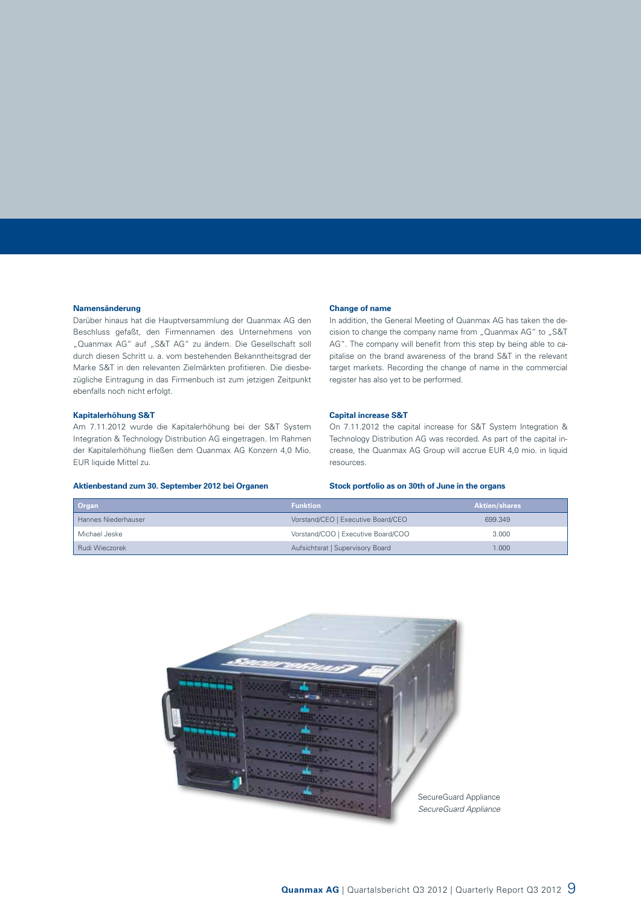#### **Namensänderung**

Darüber hinaus hat die Hauptversammlung der Quanmax AG den Beschluss gefaßt, den Firmennamen des Unternehmens von "Quanmax AG" auf "S&T AG" zu ändern. Die Gesellschaft soll durch diesen Schritt u. a. vom bestehenden Bekanntheitsgrad der Marke S&T in den relevanten Zielmärkten profitieren. Die diesbezügliche Eintragung in das Firmenbuch ist zum jetzigen Zeitpunkt ebenfalls noch nicht erfolgt.

#### **Kapitalerhöhung S&T**

Am 7.11.2012 wurde die Kapitalerhöhung bei der S&T System Integration & Technology Distribution AG eingetragen. Im Rahmen der Kapitalerhöhung fließen dem Quanmax AG Konzern 4,0 Mio. EUR liquide Mittel zu.

#### **Aktienbestand zum 30. September 2012 bei Organen**

#### **Change of name**

In addition, the General Meeting of Quanmax AG has taken the decision to change the company name from "Quanmax AG" to "S&T AG". The company will benefit from this step by being able to capitalise on the brand awareness of the brand S&T in the relevant target markets. Recording the change of name in the commercial register has also yet to be performed.

#### **Capital increase S&T**

On 7.11.2012 the capital increase for S&T System Integration & Technology Distribution AG was recorded. As part of the capital increase, the Quanmax AG Group will accrue EUR 4,0 mio. in liquid resources.

#### **Stock portfolio as on 30th of June in the organs**

| Organ               | <b>Funktion</b>                    | <b>Aktien/shares</b> |
|---------------------|------------------------------------|----------------------|
| Hannes Niederhauser | Vorstand/CEO   Executive Board/CEO | 699.349              |
| Michael Jeske       | Vorstand/COO   Executive Board/COO | 3.000                |
| Rudi Wieczorek      | Aufsichtsrat   Supervisory Board   | 1.000                |

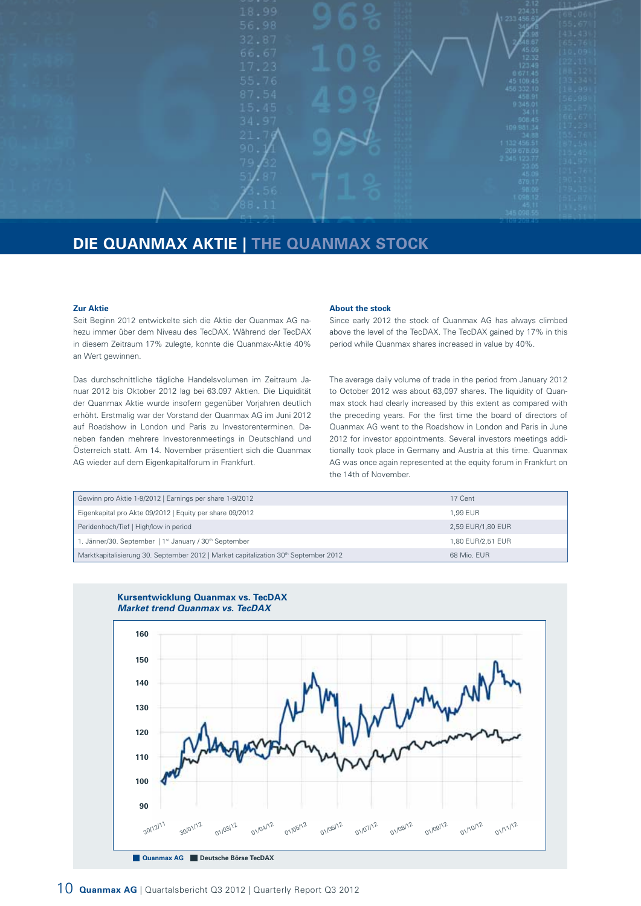

# **DIE QUANMAX AKTIE | THE QUANMAX STOCK**

#### **Zur Aktie**

Seit Beginn 2012 entwickelte sich die Aktie der Quanmax AG nahezu immer über dem Niveau des TecDAX. Während der TecDAX in diesem Zeitraum 17% zulegte, konnte die Quanmax-Aktie 40% an Wert gewinnen.

Das durchschnittliche tägliche Handelsvolumen im Zeitraum Januar 2012 bis Oktober 2012 lag bei 63.097 Aktien. Die Liquidität der Quanmax Aktie wurde insofern gegenüber Vorjahren deutlich erhöht. Erstmalig war der Vorstand der Quanmax AG im Juni 2012 auf Roadshow in London und Paris zu Investorenterminen. Daneben fanden mehrere Investorenmeetings in Deutschland und Österreich statt. Am 14. November präsentiert sich die Quanmax AG wieder auf dem Eigenkapitalforum in Frankfurt.

#### **About the stock**

Since early 2012 the stock of Quanmax AG has always climbed above the level of the TecDAX. The TecDAX gained by 17% in this period while Quanmax shares increased in value by 40%.

The average daily volume of trade in the period from January 2012 to October 2012 was about 63,097 shares. The liquidity of Quanmax stock had clearly increased by this extent as compared with the preceding years. For the first time the board of directors of Quanmax AG went to the Roadshow in London and Paris in June 2012 for investor appointments. Several investors meetings additionally took place in Germany and Austria at this time. Quanmax AG was once again represented at the equity forum in Frankfurt on the 14th of November.

| Gewinn pro Aktie 1-9/2012   Earnings per share 1-9/2012                                         | 17 Cent           |
|-------------------------------------------------------------------------------------------------|-------------------|
| Eigenkapital pro Akte 09/2012   Equity per share 09/2012                                        | 1.99 EUR          |
| Peridenhoch/Tief   High/low in period                                                           | 2,59 EUR/1,80 EUR |
| J. Jänner/30. September   1 <sup>st</sup> January / 30 <sup>th</sup> September                  | 1,80 EUR/2,51 EUR |
| Marktkapitalisierung 30. September 2012   Market capitalization 30 <sup>th</sup> September 2012 | 68 Mio. EUR       |



# **Kursentwicklung Quanmax vs. TecDAX**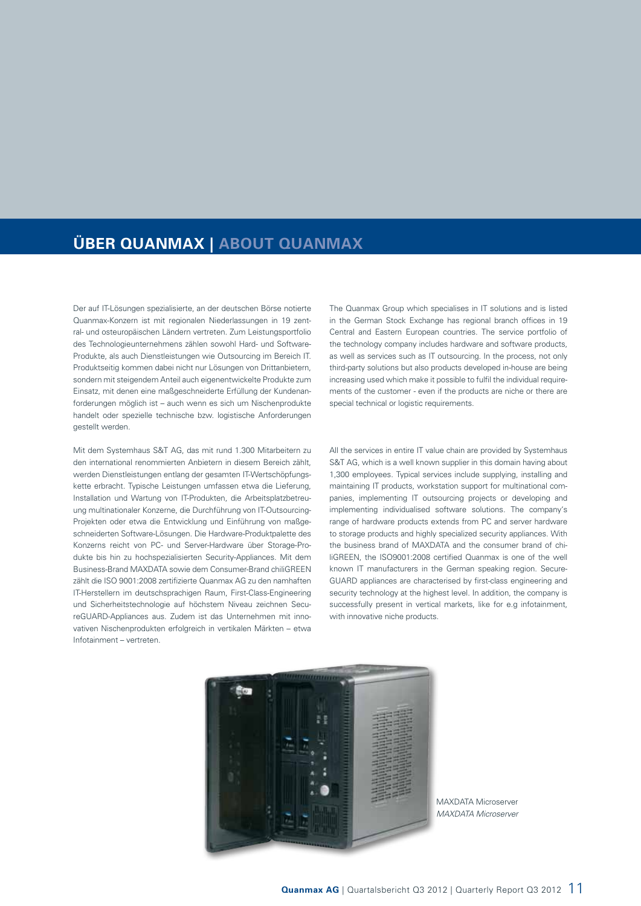# **ÜBER QUANMAX | ABOUT QUANMAX**

Der auf IT-Lösungen spezialisierte, an der deutschen Börse notierte Quanmax-Konzern ist mit regionalen Niederlassungen in 19 zentral- und osteuropäischen Ländern vertreten. Zum Leistungsportfolio des Technologieunternehmens zählen sowohl Hard- und Software-Produkte, als auch Dienstleistungen wie Outsourcing im Bereich IT. Produktseitig kommen dabei nicht nur Lösungen von Drittanbietern, sondern mit steigendem Anteil auch eigenentwickelte Produkte zum Einsatz, mit denen eine maßgeschneiderte Erfüllung der Kundenanforderungen möglich ist – auch wenn es sich um Nischenprodukte handelt oder spezielle technische bzw. logistische Anforderungen gestellt werden.

Mit dem Systemhaus S&T AG, das mit rund 1.300 Mitarbeitern zu den international renommierten Anbietern in diesem Bereich zählt, werden Dienstleistungen entlang der gesamten IT-Wertschöpfungskette erbracht. Typische Leistungen umfassen etwa die Lieferung, Installation und Wartung von IT-Produkten, die Arbeitsplatzbetreuung multinationaler Konzerne, die Durchführung von IT-Outsourcing-Projekten oder etwa die Entwicklung und Einführung von maßgeschneiderten Software-Lösungen. Die Hardware-Produktpalette des Konzerns reicht von PC- und Server-Hardware über Storage-Produkte bis hin zu hochspezialisierten Security-Appliances. Mit dem Business-Brand MAXDATA sowie dem Consumer-Brand chiliGREEN zählt die ISO 9001:2008 zertifizierte Quanmax AG zu den namhaften IT-Herstellern im deutschsprachigen Raum, First-Class-Engineering und Sicherheitstechnologie auf höchstem Niveau zeichnen SecureGUARD-Appliances aus. Zudem ist das Unternehmen mit innovativen Nischenprodukten erfolgreich in vertikalen Märkten – etwa Infotainment – vertreten.

The Quanmax Group which specialises in IT solutions and is listed in the German Stock Exchange has regional branch offices in 19 Central and Eastern European countries. The service portfolio of the technology company includes hardware and software products, as well as services such as IT outsourcing. In the process, not only third-party solutions but also products developed in-house are being increasing used which make it possible to fulfil the individual requirements of the customer - even if the products are niche or there are special technical or logistic requirements.

All the services in entire IT value chain are provided by Systemhaus S&T AG, which is a well known supplier in this domain having about 1,300 employees. Typical services include supplying, installing and maintaining IT products, workstation support for multinational companies, implementing IT outsourcing projects or developing and implementing individualised software solutions. The company's range of hardware products extends from PC and server hardware to storage products and highly specialized security appliances. With the business brand of MAXDATA and the consumer brand of chiliGREEN, the ISO9001:2008 certified Quanmax is one of the well known IT manufacturers in the German speaking region. Secure-GUARD appliances are characterised by first-class engineering and security technology at the highest level. In addition, the company is successfully present in vertical markets, like for e.g infotainment, with innovative niche products.



MAXDATA Microserver *MAXDATA Microserver*